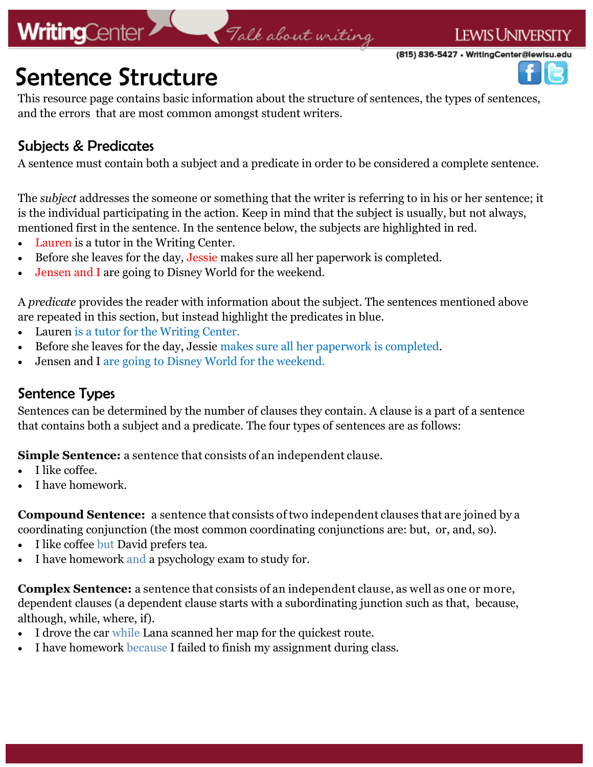## **WritingCenter**

# Talk about writing

**LEWIS UNIVERSITY** (815) 836-5427 • WritingCenter@lewisu.edu



This resource page contains basic information about the structure of sentences, the types of sentences, and the errors that are most common amongst student writers.

#### Subjects & Predicates

A sentence must contain both a subject and a predicate in order to be considered a complete sentence.

The *subject* addresses the someone or something that the writer is referring to in his or her sentence; it is the individual participating in the action. Keep in mind that the subject is usually, but not always, mentioned first in the sentence. In the sentence below, the subjects are highlighted in red.

- Lauren is a tutor in the Writing Center.
- Before she leaves for the day, Jessie makes sure all her paperwork is completed.
- Jensen and I are going to Disney World for the weekend.

A *predicate* provides the reader with information about the subject. The sentences mentioned above are repeated in this section, but instead highlight the predicates in blue.

- Lauren is a tutor for the Writing Center.
- Before she leaves for the day, Jessie makes sure all her paperwork is completed.
- Jensen and I are going to Disney World for the weekend.

#### Sentence Types

Sentences can be determined by the number of clauses they contain. A clause is a part of a sentence that contains both a subject and a predicate. The four types of sentences are as follows:

**Simple Sentence:** a sentence that consists of an independent clause.

- I like coffee.
- I have homework.

**Compound Sentence:** a sentence that consists of two independent clauses that are joined by a coordinating conjunction (the most common coordinating conjunctions are: but, or, and, so).

- I like coffee but David prefers tea.
- I have homework and a psychology exam to study for.

**Complex Sentence:** a sentence that consists of an independent clause, as well as one or more, dependent clauses (a dependent clause starts with a subordinating junction such as that, because, although, while, where, if).

- I drove the car while Lana scanned her map for the quickest route.
- I have homework because I failed to finish my assignment during class.